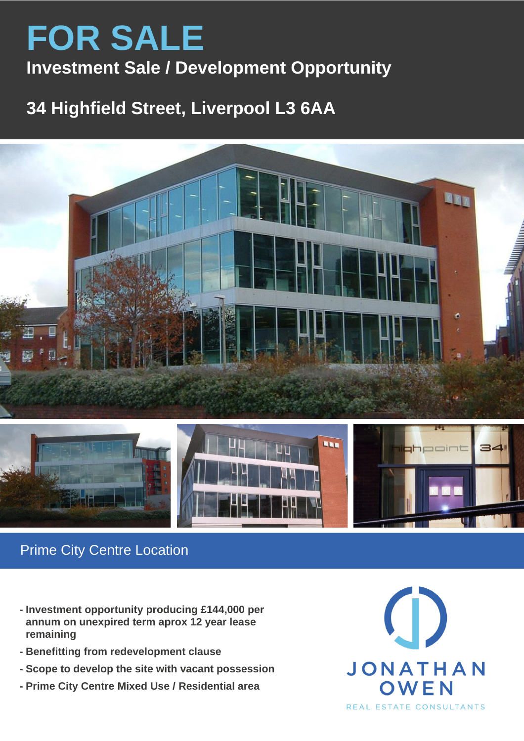# **FOR SALE Investment Sale / Development Opportunity**

## **34 Highfield Street, Liverpool L3 6AA**





## Prime City Centre Location

- **- Investment opportunity producing £144,000 per annum on unexpired term aprox 12 year lease remaining**
- **- Benefitting from redevelopment clause**
- **- Scope to develop the site with vacant possession**
- **- Prime City Centre Mixed Use / Residential area**